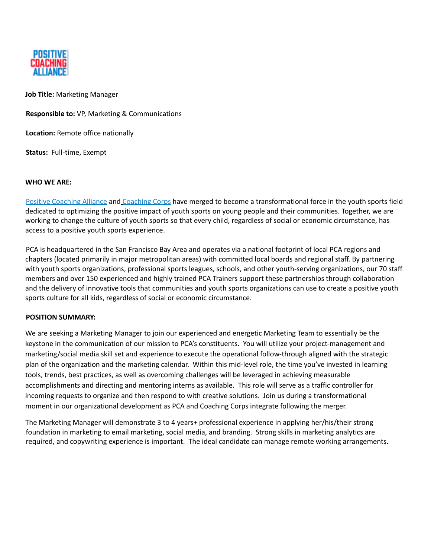

**Job Title: Marketing Manager** 

**Responsible to: VP, Marketing & Communications** 

**Location:** Remote office nationally

**Status: Full-time, Exempt** 

### **WHO WE ARE**

Positive Coaching Alliance and Coaching Corps have merged to become a transformational force in the youth sports field dedicated to optimizing the positive impact of youth sports on young people and their communities. Together, we are working to change the culture of youth sports so that every child, regardless of social or economic circumstance, has access to a positive youth sports experience.

PCA is headquartered in the San Francisco Bay Area and operates via a national footprint of local PCA regions and chapters (located primarily in major metropolitan areas) with committed local boards and regional staff. By partnering with youth sports organizations, professional sports leagues, schools, and other youth-serving organizations, our 70 staff members and over 150 experienced and highly trained PCA Trainers support these partnerships through collaboration and the delivery of innovative tools that communities and youth sports organizations can use to create a positive youth sports culture for all kids, regardless of social or economic circumstance.

### **POSITION SUMMARY**

We are seeking a Marketing Manager to join our experienced and energetic Marketing Team to essentially be the keystone in the communication of our mission to PCA's constituents. You will utilize your project-management and marketing/social media skill set and experience to execute the operational follow-through aligned with the strategic plan of the organization and the marketing calendar. Within this mid-level role, the time you've invested in learning tools, trends, best practices, as well as overcoming challenges will be leveraged in achieving measurable accomplishments and directing and mentoring interns as available. This role will serve as a traffic controller for incoming requests to organize and then respond to with creative solutions. Join us during a transformational moment in our organizational development as PCA and Coaching Corps integrate following the merger.

The Marketing Manager will demonstrate 3 to 4 years+ professional experience in applying her/his/their strong foundation in marketing to email marketing, social media, and branding. Strong skills in marketing analytics are required, and copywriting experience is important. The ideal candidate can manage remote working arrangements.